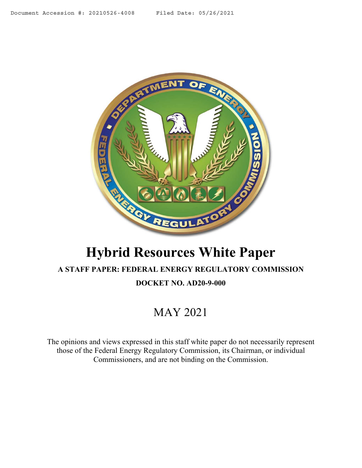<span id="page-0-0"></span>

# **Hybrid Resources White Paper**

## **A STAFF PAPER: FEDERAL ENERGY REGULATORY COMMISSION DOCKET NO. AD20-9-000**

# MAY 2021

The opinions and views expressed in this staff white paper do not necessarily represent those of the Federal Energy Regulatory Commission, its Chairman, or individual Commissioners, and are not binding on the Commission.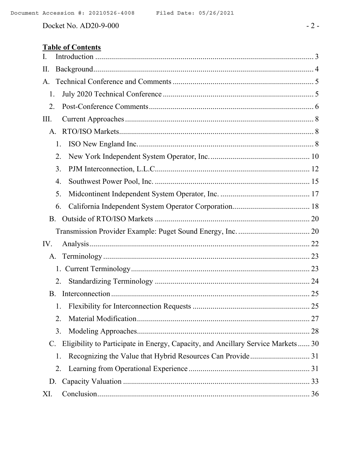Docket No. AD20-9-000

## **Table of Contents**

| I.                                                                                     |  |
|----------------------------------------------------------------------------------------|--|
| Π.                                                                                     |  |
| A.                                                                                     |  |
| 1.                                                                                     |  |
| 2.                                                                                     |  |
| III.                                                                                   |  |
| A.                                                                                     |  |
| 1.                                                                                     |  |
| 2.                                                                                     |  |
| 3.                                                                                     |  |
| 4.                                                                                     |  |
| 5.                                                                                     |  |
| 6.                                                                                     |  |
| <b>B.</b>                                                                              |  |
|                                                                                        |  |
| IV.                                                                                    |  |
| А.                                                                                     |  |
|                                                                                        |  |
| 2.                                                                                     |  |
| B.                                                                                     |  |
| 1.                                                                                     |  |
| 2.                                                                                     |  |
| 3.                                                                                     |  |
| Eligibility to Participate in Energy, Capacity, and Ancillary Service Markets 30<br>C. |  |
| 1.                                                                                     |  |
| 2.                                                                                     |  |
|                                                                                        |  |
| D.                                                                                     |  |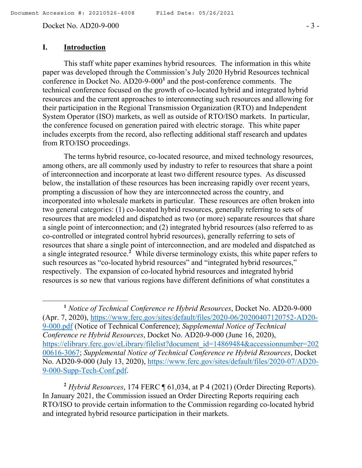Docket No. AD20-9-000 - 3 -

#### **I. Introduction**

 $\overline{a}$ 

This staff white paper examines hybrid resources. The information in this white paper was developed through the Commission's July 2020 Hybrid Resources technical conference in Docket No. AD20-9-000**<sup>1</sup>** and the post-conference comments. The technical conference focused on the growth of co-located hybrid and integrated hybrid resources and the current approaches to interconnecting such resources and allowing for their participation in the Regional Transmission Organization (RTO) and Independent System Operator (ISO) markets, as well as outside of RTO/ISO markets. In particular, the conference focused on generation paired with electric storage. This white paper includes excerpts from the record, also reflecting additional staff research and updates from RTO/ISO proceedings.

The terms hybrid resource, co-located resource, and mixed technology resources, among others, are all commonly used by industry to refer to resources that share a point of interconnection and incorporate at least two different resource types. As discussed below, the installation of these resources has been increasing rapidly over recent years, prompting a discussion of how they are interconnected across the country, and incorporated into wholesale markets in particular. These resources are often broken into two general categories: (1) co-located hybrid resources, generally referring to sets of resources that are modeled and dispatched as two (or more) separate resources that share a single point of interconnection; and (2) integrated hybrid resources (also referred to as co-controlled or integrated control hybrid resources), generally referring to sets of resources that share a single point of interconnection, and are modeled and dispatched as a single integrated resource.**<sup>2</sup>** While diverse terminology exists, this white paper refers to such resources as "co-located hybrid resources" and "integrated hybrid resources," respectively. The expansion of co-located hybrid resources and integrated hybrid resources is so new that various regions have different definitions of what constitutes a

**<sup>2</sup>** *Hybrid Resources*, 174 FERC ¶ 61,034, at P 4 (2021) (Order Directing Reports). In January 2021, the Commission issued an Order Directing Reports requiring each RTO/ISO to provide certain information to the Commission regarding co-located hybrid and integrated hybrid resource participation in their markets.

**<sup>1</sup>** *Notice of Technical Conference re Hybrid Resources*, Docket No. AD20-9-000 (Apr. 7, 2020), https://www.ferc.gov/sites/default/files/2020-06/20200407120752-AD20- 9-000.pdf (Notice of Technical Conference); *Supplemental Notice of Technical Conference re Hybrid Resources*, Docket No. AD20-9-000 (June 16, 2020), https://elibrary.ferc.gov/eLibrary/filelist?document\_id=14869484&accessionnumber=202 00616-3067; *Supplemental Notice of Technical Conference re Hybrid Resources*, Docket No. AD20-9-000 (July 13, 2020), https://www.ferc.gov/sites/default/files/2020-07/AD20- 9-000-Supp-Tech-Conf.pdf.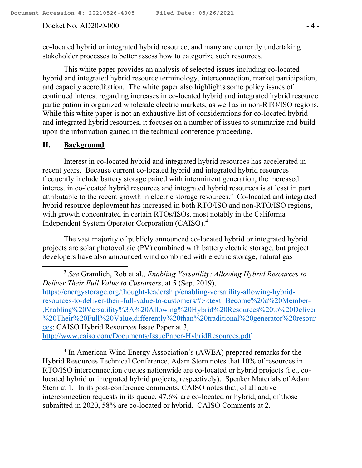#### Docket No. AD20-9-000 - 4 -

co-located hybrid or integrated hybrid resource, and many are currently undertaking stakeholder processes to better assess how to categorize such resources.

This white paper provides an analysis of selected issues including co-located hybrid and integrated hybrid resource terminology, interconnection, market participation, and capacity accreditation. The white paper also highlights some policy issues of continued interest regarding increases in co-located hybrid and integrated hybrid resource participation in organized wholesale electric markets, as well as in non-RTO/ISO regions. While this white paper is not an exhaustive list of considerations for co-located hybrid and integrated hybrid resources, it focuses on a number of issues to summarize and build upon the information gained in the technical conference proceeding.

#### **II. Background**

 $\overline{\phantom{a}}$ 

Interest in co-located hybrid and integrated hybrid resources has accelerated in recent years. Because current co-located hybrid and integrated hybrid resources frequently include battery storage paired with intermittent generation, the increased interest in co-located hybrid resources and integrated hybrid resources is at least in part attributable to the recent growth in electric storage resources.**<sup>3</sup>** Co-located and integrated hybrid resource deployment has increased in both RTO/ISO and non-RTO/ISO regions, with growth concentrated in certain RTOs/ISOs, most notably in the California Independent System Operator Corporation (CAISO).**<sup>4</sup>**

The vast majority of publicly announced co-located hybrid or integrated hybrid projects are solar photovoltaic (PV) combined with battery electric storage, but project developers have also announced wind combined with electric storage, natural gas

**3** *See* Gramlich, Rob et al., *Enabling Versatility: Allowing Hybrid Resources to Deliver Their Full Value to Customers*, at 5 (Sep. 2019), https://energystorage.org/thought-leadership/enabling-versatility-allowing-hybridresources-to-deliver-their-full-value-to-customers/#:~:text=Become%20a%20Member- ,Enabling%20Versatility%3A%20Allowing%20Hybrid%20Resources%20to%20Deliver %20Their%20Full%20Value,differently%20than%20traditional%20generator%20resour ces; CAISO Hybrid Resources Issue Paper at 3, http://www.caiso.com/Documents/IssuePaper-HybridResources.pdf.

<sup>4</sup> In American Wind Energy Association's (AWEA) prepared remarks for the Hybrid Resources Technical Conference, Adam Stern notes that 10% of resources in RTO/ISO interconnection queues nationwide are co-located or hybrid projects (i.e., colocated hybrid or integrated hybrid projects, respectively). Speaker Materials of Adam Stern at 1. In its post-conference comments, CAISO notes that, of all active interconnection requests in its queue, 47.6% are co-located or hybrid, and, of those submitted in 2020, 58% are co-located or hybrid. CAISO Comments at 2.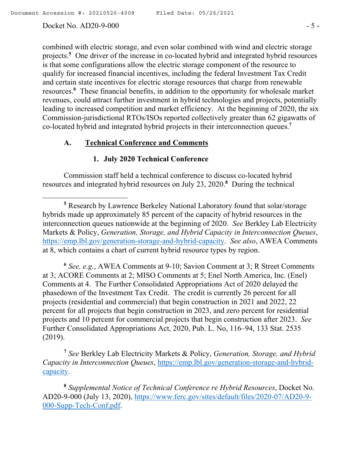$\overline{a}$ 

#### Docket No. AD20-9-000 - 5 -

combined with electric storage, and even solar combined with wind and electric storage projects.**<sup>5</sup>** One driver of the increase in co-located hybrid and integrated hybrid resources is that some configurations allow the electric storage component of the resource to qualify for increased financial incentives, including the federal Investment Tax Credit and certain state incentives for electric storage resources that charge from renewable resources.**<sup>6</sup>** These financial benefits, in addition to the opportunity for wholesale market revenues, could attract further investment in hybrid technologies and projects, potentially leading to increased competition and market efficiency. At the beginning of 2020, the six Commission-jurisdictional RTOs/ISOs reported collectively greater than 62 gigawatts of co-located hybrid and integrated hybrid projects in their interconnection queues.**<sup>7</sup>**

#### **A. Technical Conference and Comments**

#### **1. July 2020 Technical Conference**

Commission staff held a technical conference to discuss co-located hybrid resources and integrated hybrid resources on July 23, 2020.**<sup>8</sup>** During the technical

**6** *See, e.g.*, AWEA Comments at 9-10; Savion Comment at 3; R Street Comments at 3; ACORE Comments at 2; MISO Comments at 5; Enel North America, Inc. (Enel) Comments at 4. The Further Consolidated Appropriations Act of 2020 delayed the phasedown of the Investment Tax Credit. The credit is currently 26 percent for all projects (residential and commercial) that begin construction in 2021 and 2022, 22 percent for all projects that begin construction in 2023, and zero percent for residential projects and 10 percent for commercial projects that begin construction after 2023. *See* Further Consolidated Appropriations Act, 2020, Pub. L. No, 116–94, 133 Stat. 2535 (2019).

**7** *See* Berkley Lab Electricity Markets & Policy, *Generation, Storage, and Hybrid Capacity in Interconnection Queues*, https://emp.lbl.gov/generation-storage-and-hybridcapacity.

**8** *Supplemental Notice of Technical Conference re Hybrid Resources*, Docket No. AD20-9-000 (July 13, 2020), https://www.ferc.gov/sites/default/files/2020-07/AD20-9- 000-Supp-Tech-Conf.pdf.

**<sup>5</sup>** Research by Lawrence Berkeley National Laboratory found that solar/storage hybrids made up approximately 85 percent of the capacity of hybrid resources in the interconnection queues nationwide at the beginning of 2020. *See* Berkley Lab Electricity Markets & Policy, *Generation, Storage, and Hybrid Capacity in Interconnection Queues*, https://emp.lbl.gov/generation-storage-and-hybrid-capacity. *See also*, AWEA Comments at 8, which contains a chart of current hybrid resource types by region.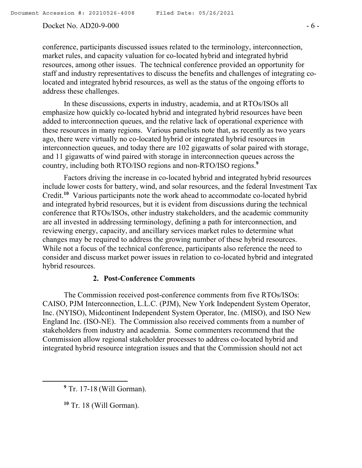#### Docket No. AD20-9-000 - 6 -

conference, participants discussed issues related to the terminology, interconnection, market rules, and capacity valuation for co-located hybrid and integrated hybrid resources, among other issues. The technical conference provided an opportunity for staff and industry representatives to discuss the benefits and challenges of integrating colocated and integrated hybrid resources, as well as the status of the ongoing efforts to address these challenges.

In these discussions, experts in industry, academia, and at RTOs/ISOs all emphasize how quickly co-located hybrid and integrated hybrid resources have been added to interconnection queues, and the relative lack of operational experience with these resources in many regions. Various panelists note that, as recently as two years ago, there were virtually no co-located hybrid or integrated hybrid resources in interconnection queues, and today there are 102 gigawatts of solar paired with storage, and 11 gigawatts of wind paired with storage in interconnection queues across the country, including both RTO/ISO regions and non-RTO/ISO regions.**<sup>9</sup>**

Factors driving the increase in co-located hybrid and integrated hybrid resources include lower costs for battery, wind, and solar resources, and the federal Investment Tax Credit.<sup>10</sup> Various participants note the work ahead to accommodate co-located hybrid and integrated hybrid resources, but it is evident from discussions during the technical conference that RTOs/ISOs, other industry stakeholders, and the academic community are all invested in addressing terminology, defining a path for interconnection, and reviewing energy, capacity, and ancillary services market rules to determine what changes may be required to address the growing number of these hybrid resources. While not a focus of the technical conference, participants also reference the need to consider and discuss market power issues in relation to co-located hybrid and integrated hybrid resources.

#### **2. Post-Conference Comments**

The Commission received post-conference comments from five RTOs/ISOs: CAISO, PJM Interconnection, L.L.C. (PJM), New York Independent System Operator, Inc. (NYISO), Midcontinent Independent System Operator, Inc. (MISO), and ISO New England Inc. (ISO-NE). The Commission also received comments from a number of stakeholders from industry and academia. Some commenters recommend that the Commission allow regional stakeholder processes to address co-located hybrid and integrated hybrid resource integration issues and that the Commission should not act

 $\overline{a}$ 

**<sup>9</sup>** Tr. 17-18 (Will Gorman).

**<sup>10</sup>** Tr. 18 (Will Gorman).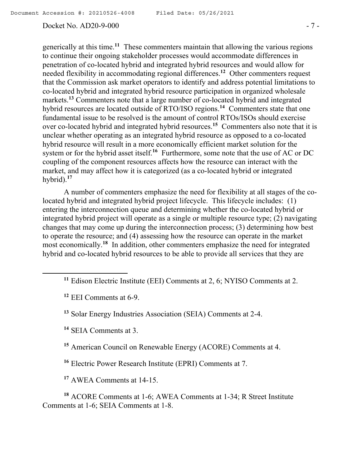#### Docket No. AD20-9-000 - 7 -

generically at this time.**<sup>11</sup>** These commenters maintain that allowing the various regions to continue their ongoing stakeholder processes would accommodate differences in penetration of co-located hybrid and integrated hybrid resources and would allow for needed flexibility in accommodating regional differences.**<sup>12</sup>** Other commenters request that the Commission ask market operators to identify and address potential limitations to co-located hybrid and integrated hybrid resource participation in organized wholesale markets.**<sup>13</sup>** Commenters note that a large number of co-located hybrid and integrated hybrid resources are located outside of RTO/ISO regions.**<sup>14</sup>** Commenters state that one fundamental issue to be resolved is the amount of control RTOs/ISOs should exercise over co-located hybrid and integrated hybrid resources.**<sup>15</sup>** Commenters also note that it is unclear whether operating as an integrated hybrid resource as opposed to a co-located hybrid resource will result in a more economically efficient market solution for the system or for the hybrid asset itself.**<sup>16</sup>** Furthermore, some note that the use of AC or DC coupling of the component resources affects how the resource can interact with the market, and may affect how it is categorized (as a co-located hybrid or integrated hybrid).**<sup>17</sup>**

A number of commenters emphasize the need for flexibility at all stages of the colocated hybrid and integrated hybrid project lifecycle. This lifecycle includes: (1) entering the interconnection queue and determining whether the co-located hybrid or integrated hybrid project will operate as a single or multiple resource type; (2) navigating changes that may come up during the interconnection process; (3) determining how best to operate the resource; and (4) assessing how the resource can operate in the market most economically.**<sup>18</sup>** In addition, other commenters emphasize the need for integrated hybrid and co-located hybrid resources to be able to provide all services that they are

 $\overline{a}$ 

**<sup>14</sup>** SEIA Comments at 3.

**<sup>15</sup>** American Council on Renewable Energy (ACORE) Comments at 4.

**<sup>16</sup>** Electric Power Research Institute (EPRI) Comments at 7.

**<sup>17</sup>** AWEA Comments at 14-15.

**<sup>18</sup>** ACORE Comments at 1-6; AWEA Comments at 1-34; R Street Institute Comments at 1-6; SEIA Comments at 1-8.

**<sup>11</sup>** Edison Electric Institute (EEI) Comments at 2, 6; NYISO Comments at 2.

**<sup>12</sup>** EEI Comments at 6-9.

**<sup>13</sup>** Solar Energy Industries Association (SEIA) Comments at 2-4.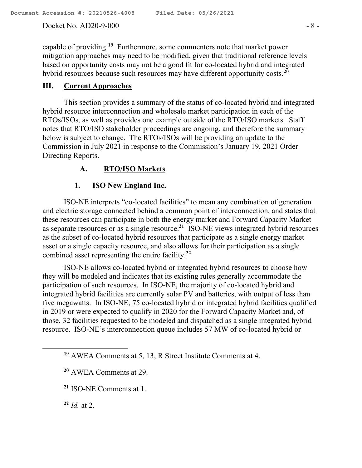#### Docket No. AD20-9-000 - 8 -

capable of providing.**<sup>19</sup>** Furthermore, some commenters note that market power mitigation approaches may need to be modified, given that traditional reference levels based on opportunity costs may not be a good fit for co-located hybrid and integrated hybrid resources because such resources may have different opportunity costs.**<sup>20</sup>**

## **III. Current Approaches**

This section provides a summary of the status of co-located hybrid and integrated hybrid resource interconnection and wholesale market participation in each of the RTOs/ISOs, as well as provides one example outside of the RTO/ISO markets. Staff notes that RTO/ISO stakeholder proceedings are ongoing, and therefore the summary below is subject to change. The RTOs/ISOs will be providing an update to the Commission in July 2021 in response to the Commission's January 19, 2021 Order Directing Reports.

## **A. RTO/ISO Markets**

## **1. ISO New England Inc.**

ISO-NE interprets "co-located facilities" to mean any combination of generation and electric storage connected behind a common point of interconnection, and states that these resources can participate in both the energy market and Forward Capacity Market as separate resources or as a single resource.**<sup>21</sup>** ISO-NE views integrated hybrid resources as the subset of co-located hybrid resources that participate as a single energy market asset or a single capacity resource, and also allows for their participation as a single combined asset representing the entire facility.**<sup>22</sup>**

ISO-NE allows co-located hybrid or integrated hybrid resources to choose how they will be modeled and indicates that its existing rules generally accommodate the participation of such resources. In ISO-NE, the majority of co-located hybrid and integrated hybrid facilities are currently solar PV and batteries, with output of less than five megawatts. In ISO-NE, 75 co-located hybrid or integrated hybrid facilities qualified in 2019 or were expected to qualify in 2020 for the Forward Capacity Market and, of those, 32 facilities requested to be modeled and dispatched as a single integrated hybrid resource. ISO-NE's interconnection queue includes 57 MW of co-located hybrid or

**<sup>22</sup>** *Id.* at 2.

 $\overline{a}$ 

**<sup>19</sup>** AWEA Comments at 5, 13; R Street Institute Comments at 4.

**<sup>20</sup>** AWEA Comments at 29.

**<sup>21</sup>** ISO-NE Comments at 1.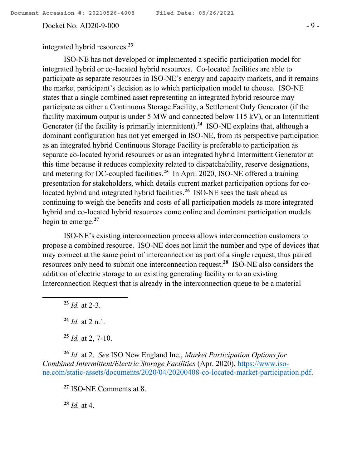Docket No. AD20-9-000 - 9 -

integrated hybrid resources.**<sup>23</sup>**

ISO-NE has not developed or implemented a specific participation model for integrated hybrid or co-located hybrid resources. Co-located facilities are able to participate as separate resources in ISO-NE's energy and capacity markets, and it remains the market participant's decision as to which participation model to choose. ISO-NE states that a single combined asset representing an integrated hybrid resource may participate as either a Continuous Storage Facility, a Settlement Only Generator (if the facility maximum output is under 5 MW and connected below 115 kV), or an Intermittent Generator (if the facility is primarily intermittent).**<sup>24</sup>** ISO-NE explains that, although a dominant configuration has not yet emerged in ISO-NE, from its perspective participation as an integrated hybrid Continuous Storage Facility is preferable to participation as separate co-located hybrid resources or as an integrated hybrid Intermittent Generator at this time because it reduces complexity related to dispatchability, reserve designations, and metering for DC-coupled facilities.**<sup>25</sup>** In April 2020, ISO-NE offered a training presentation for stakeholders, which details current market participation options for colocated hybrid and integrated hybrid facilities.**<sup>26</sup>** ISO-NE sees the task ahead as continuing to weigh the benefits and costs of all participation models as more integrated hybrid and co-located hybrid resources come online and dominant participation models begin to emerge.**<sup>27</sup>**

ISO-NE's existing interconnection process allows interconnection customers to propose a combined resource. ISO-NE does not limit the number and type of devices that may connect at the same point of interconnection as part of a single request, thus paired resources only need to submit one interconnection request.**<sup>28</sup>** ISO-NE also considers the addition of electric storage to an existing generating facility or to an existing Interconnection Request that is already in the interconnection queue to be a material

**<sup>23</sup>** *Id.* at 2-3.

l

**<sup>24</sup>** *Id.* at 2 n.1.

**<sup>25</sup>** *Id.* at 2, 7-10.

**<sup>26</sup>** *Id.* at 2. *See* ISO New England Inc., *Market Participation Options for Combined Intermittent/Electric Storage Facilities* (Apr. 2020), https://www.isone.com/static-assets/documents/2020/04/20200408-co-located-market-participation.pdf.

**<sup>27</sup>** ISO-NE Comments at 8.

**<sup>28</sup>** *Id.* at 4.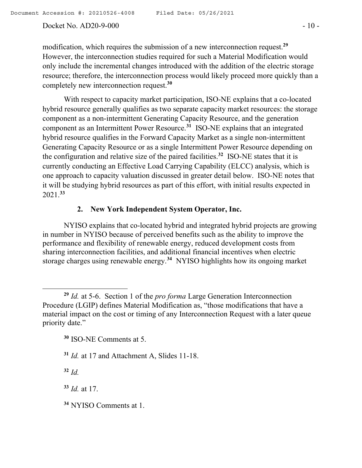#### Docket No. AD20-9-000 - 10 -

modification, which requires the submission of a new interconnection request.**<sup>29</sup>** However, the interconnection studies required for such a Material Modification would only include the incremental changes introduced with the addition of the electric storage resource; therefore, the interconnection process would likely proceed more quickly than a completely new interconnection request.**<sup>30</sup>**

With respect to capacity market participation, ISO-NE explains that a co-located hybrid resource generally qualifies as two separate capacity market resources: the storage component as a non-intermittent Generating Capacity Resource, and the generation component as an Intermittent Power Resource.**<sup>31</sup>** ISO-NE explains that an integrated hybrid resource qualifies in the Forward Capacity Market as a single non-intermittent Generating Capacity Resource or as a single Intermittent Power Resource depending on the configuration and relative size of the paired facilities.**<sup>32</sup>** ISO-NE states that it is currently conducting an Effective Load Carrying Capability (ELCC) analysis, which is one approach to capacity valuation discussed in greater detail below. ISO-NE notes that it will be studying hybrid resources as part of this effort, with initial results expected in 2021.**<sup>33</sup>**

## **2. New York Independent System Operator, Inc.**

NYISO explains that co-located hybrid and integrated hybrid projects are growing in number in NYISO because of perceived benefits such as the ability to improve the performance and flexibility of renewable energy, reduced development costs from sharing interconnection facilities, and additional financial incentives when electric storage charges using renewable energy.**<sup>34</sup>** NYISO highlights how its ongoing market

**<sup>32</sup>** *Id.*

 $\overline{a}$ 

**<sup>33</sup>** *Id.* at 17.

**<sup>34</sup>** NYISO Comments at 1.

**<sup>29</sup>** *Id.* at 5-6. Section 1 of the *pro forma* Large Generation Interconnection Procedure (LGIP) defines Material Modification as, "those modifications that have a material impact on the cost or timing of any Interconnection Request with a later queue priority date."

**<sup>30</sup>** ISO-NE Comments at 5.

**<sup>31</sup>** *Id.* at 17 and Attachment A, Slides 11-18.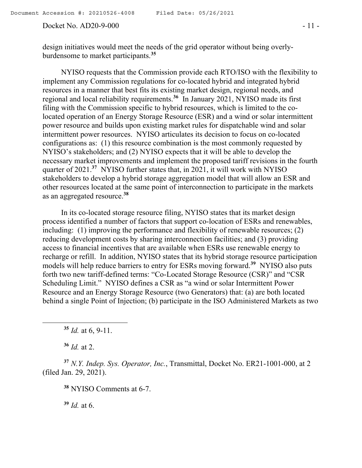#### Docket No. AD20-9-000 - 11 -

NYISO requests that the Commission provide each RTO/ISO with the flexibility to implement any Commission regulations for co-located hybrid and integrated hybrid resources in a manner that best fits its existing market design, regional needs, and regional and local reliability requirements.**<sup>36</sup>** In January 2021, NYISO made its first filing with the Commission specific to hybrid resources, which is limited to the colocated operation of an Energy Storage Resource (ESR) and a wind or solar intermittent power resource and builds upon existing market rules for dispatchable wind and solar intermittent power resources. NYISO articulates its decision to focus on co-located configurations as: (1) this resource combination is the most commonly requested by NYISO's stakeholders; and (2) NYISO expects that it will be able to develop the necessary market improvements and implement the proposed tariff revisions in the fourth quarter of 2021.**<sup>37</sup>** NYISO further states that, in 2021, it will work with NYISO stakeholders to develop a hybrid storage aggregation model that will allow an ESR and other resources located at the same point of interconnection to participate in the markets as an aggregated resource.**<sup>38</sup>**

In its co-located storage resource filing, NYISO states that its market design process identified a number of factors that support co-location of ESRs and renewables, including: (1) improving the performance and flexibility of renewable resources; (2) reducing development costs by sharing interconnection facilities; and (3) providing access to financial incentives that are available when ESRs use renewable energy to recharge or refill. In addition, NYISO states that its hybrid storage resource participation models will help reduce barriers to entry for ESRs moving forward.**<sup>39</sup>** NYISO also puts forth two new tariff-defined terms: "Co-Located Storage Resource (CSR)" and "CSR Scheduling Limit." NYISO defines a CSR as "a wind or solar Intermittent Power Resource and an Energy Storage Resource (two Generators) that: (a) are both located behind a single Point of Injection; (b) participate in the ISO Administered Markets as two

**<sup>35</sup>** *Id.* at 6, 9-11.

**<sup>36</sup>** *Id.* at 2.

l

**<sup>37</sup>** *N.Y. Indep. Sys. Operator, Inc.*, Transmittal, Docket No. ER21-1001-000, at 2 (filed Jan. 29, 2021).

**<sup>38</sup>** NYISO Comments at 6-7.

**<sup>39</sup>** *Id.* at 6.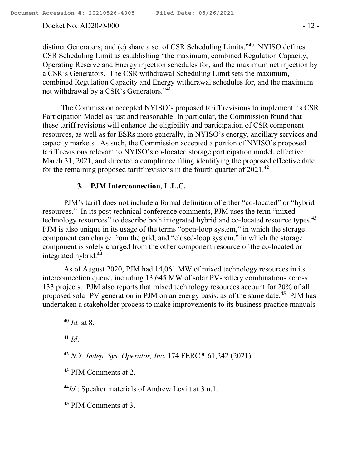Docket No. AD20-9-000 - 12 -

distinct Generators; and (c) share a set of CSR Scheduling Limits."**<sup>40</sup>** NYISO defines CSR Scheduling Limit as establishing "the maximum, combined Regulation Capacity, Operating Reserve and Energy injection schedules for, and the maximum net injection by a CSR's Generators. The CSR withdrawal Scheduling Limit sets the maximum, combined Regulation Capacity and Energy withdrawal schedules for, and the maximum net withdrawal by a CSR's Generators."**<sup>41</sup>**

The Commission accepted NYISO's proposed tariff revisions to implement its CSR Participation Model as just and reasonable. In particular, the Commission found that these tariff revisions will enhance the eligibility and participation of CSR component resources, as well as for ESRs more generally, in NYISO's energy, ancillary services and capacity markets. As such, the Commission accepted a portion of NYISO's proposed tariff revisions relevant to NYISO's co-located storage participation model, effective March 31, 2021, and directed a compliance filing identifying the proposed effective date for the remaining proposed tariff revisions in the fourth quarter of 2021.**<sup>42</sup>**

## **3. PJM Interconnection, L.L.C.**

PJM's tariff does not include a formal definition of either "co-located" or "hybrid resources." In its post-technical conference comments, PJM uses the term "mixed technology resources" to describe both integrated hybrid and co-located resource types.**<sup>43</sup>** PJM is also unique in its usage of the terms "open-loop system," in which the storage component can charge from the grid, and "closed-loop system," in which the storage component is solely charged from the other component resource of the co-located or integrated hybrid.**<sup>44</sup>**

As of August 2020, PJM had 14,061 MW of mixed technology resources in its interconnection queue, including 13,645 MW of solar PV-battery combinations across 133 projects. PJM also reports that mixed technology resources account for 20% of all proposed solar PV generation in PJM on an energy basis, as of the same date.**<sup>45</sup>** PJM has undertaken a stakeholder process to make improvements to its business practice manuals

**<sup>40</sup>** *Id.* at 8.

**<sup>41</sup>** *Id*.

 $\overline{\phantom{a}}$ 

**<sup>42</sup>** *N.Y. Indep. Sys. Operator, Inc*, 174 FERC ¶ 61,242 (2021).

**<sup>43</sup>** PJM Comments at 2.

**<sup>44</sup>***Id.*; Speaker materials of Andrew Levitt at 3 n.1.

**<sup>45</sup>** PJM Comments at 3.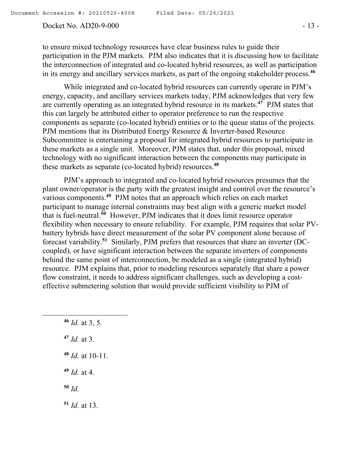#### Docket No. AD20-9-000 - 13 -

to ensure mixed technology resources have clear business rules to guide their participation in the PJM markets. PJM also indicates that it is discussing how to facilitate the interconnection of integrated and co-located hybrid resources, as well as participation in its energy and ancillary services markets, as part of the ongoing stakeholder process.**<sup>46</sup>**

While integrated and co-located hybrid resources can currently operate in PJM's energy, capacity, and ancillary services markets today, PJM acknowledges that very few are currently operating as an integrated hybrid resource in its markets.**<sup>47</sup>** PJM states that this can largely be attributed either to operator preference to run the respective components as separate (co-located hybrid) entities or to the queue status of the projects. PJM mentions that its Distributed Energy Resource & Inverter-based Resource Subcommittee is entertaining a proposal for integrated hybrid resources to participate in these markets as a single unit. Moreover, PJM states that, under this proposal, mixed technology with no significant interaction between the components may participate in these markets as separate (co-located hybrid) resources.**<sup>48</sup>**

PJM's approach to integrated and co-located hybrid resources presumes that the plant owner/operator is the party with the greatest insight and control over the resource's various components.**<sup>49</sup>** PJM notes that an approach which relies on each market participant to manage internal constraints may best align with a generic market model that is fuel-neutral.**<sup>50</sup>** However, PJM indicates that it does limit resource operator flexibility when necessary to ensure reliability. For example, PJM requires that solar PVbattery hybrids have direct measurement of the solar PV component alone because of forecast variability.**<sup>51</sup>** Similarly, PJM prefers that resources that share an inverter (DCcoupled), or have significant interaction between the separate inverters of components behind the same point of interconnection, be modeled as a single (integrated hybrid) resource. PJM explains that, prior to modeling resources separately that share a power flow constraint, it needs to address significant challenges, such as developing a costeffective submetering solution that would provide sufficient visibility to PJM of

 *Id.* at 3, 5*. Id.* at 3. *Id.* at 10-11. *Id.* at 4. **<sup>50</sup>** *Id. Id.* at 13.

 $\overline{\phantom{a}}$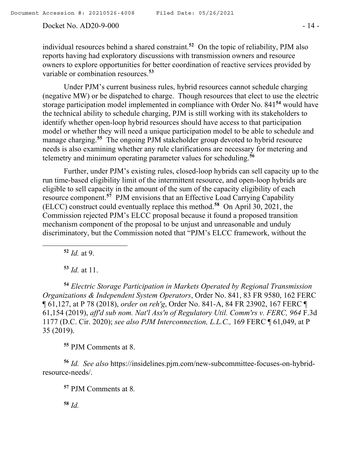#### Docket No. AD20-9-000 - 14 -

individual resources behind a shared constraint.**<sup>52</sup>** On the topic of reliability, PJM also reports having had exploratory discussions with transmission owners and resource owners to explore opportunities for better coordination of reactive services provided by variable or combination resources.**<sup>53</sup>**

Under PJM's current business rules, hybrid resources cannot schedule charging (negative MW) or be dispatched to charge. Though resources that elect to use the electric storage participation model implemented in compliance with Order No. 841**<sup>54</sup>** would have the technical ability to schedule charging, PJM is still working with its stakeholders to identify whether open-loop hybrid resources should have access to that participation model or whether they will need a unique participation model to be able to schedule and manage charging.**<sup>55</sup>** The ongoing PJM stakeholder group devoted to hybrid resource needs is also examining whether any rule clarifications are necessary for metering and telemetry and minimum operating parameter values for scheduling.**<sup>56</sup>**

Further, under PJM's existing rules, closed-loop hybrids can sell capacity up to the run time-based eligibility limit of the intermittent resource, and open-loop hybrids are eligible to sell capacity in the amount of the sum of the capacity eligibility of each resource component.**<sup>57</sup>** PJM envisions that an Effective Load Carrying Capability (ELCC) construct could eventually replace this method.**<sup>58</sup>** On April 30, 2021, the Commission rejected PJM's ELCC proposal because it found a proposed transition mechanism component of the proposal to be unjust and unreasonable and unduly discriminatory, but the Commission noted that "PJM's ELCC framework, without the

**<sup>52</sup>** *Id.* at 9.

l

**<sup>53</sup>** *Id.* at 11.

**<sup>54</sup>** *Electric Storage Participation in Markets Operated by Regional Transmission Organizations & Independent System Operators*, Order No. 841, 83 FR 9580, 162 FERC ¶ 61,127, at P 78 (2018), *order on reh'g*, Order No. 841-A, 84 FR 23902, 167 FERC ¶ 61,154 (2019), *aff'd sub nom. Nat'l Ass'n of Regulatory Util. Comm'rs v. FERC, 964* F.3d 1177 (D.C. Cir. 2020); *see also PJM Interconnection, L.L.C.,* 169 FERC ¶ 61,049, at P 35 (2019).

**<sup>55</sup>** PJM Comments at 8.

**<sup>56</sup>** *Id. See also* https://insidelines.pjm.com/new-subcommittee-focuses-on-hybridresource-needs/.

**<sup>57</sup>** PJM Comments at 8*.*

**<sup>58</sup>** *Id.*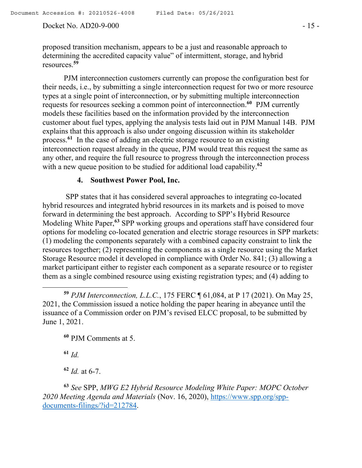#### Docket No. AD20-9-000 - 15 -

proposed transition mechanism, appears to be a just and reasonable approach to determining the accredited capacity value" of intermittent, storage, and hybrid resources.**<sup>59</sup>**

PJM interconnection customers currently can propose the configuration best for their needs, i.e., by submitting a single interconnection request for two or more resource types at a single point of interconnection, or by submitting multiple interconnection requests for resources seeking a common point of interconnection.**<sup>60</sup>** PJM currently models these facilities based on the information provided by the interconnection customer about fuel types, applying the analysis tests laid out in PJM Manual 14B. PJM explains that this approach is also under ongoing discussion within its stakeholder process.**<sup>61</sup>** In the case of adding an electric storage resource to an existing interconnection request already in the queue, PJM would treat this request the same as any other, and require the full resource to progress through the interconnection process with a new queue position to be studied for additional load capability.<sup>62</sup>

#### **4. Southwest Power Pool, Inc.**

SPP states that it has considered several approaches to integrating co-located hybrid resources and integrated hybrid resources in its markets and is poised to move forward in determining the best approach. According to SPP's Hybrid Resource Modeling White Paper,**<sup>63</sup>** SPP working groups and operations staff have considered four options for modeling co-located generation and electric storage resources in SPP markets: (1) modeling the components separately with a combined capacity constraint to link the resources together; (2) representing the components as a single resource using the Market Storage Resource model it developed in compliance with Order No. 841; (3) allowing a market participant either to register each component as a separate resource or to register them as a single combined resource using existing registration types; and (4) adding to

**<sup>59</sup>** *PJM Interconnection, L.L.C.*, 175 FERC ¶ 61,084, at P 17 (2021). On May 25, 2021, the Commission issued a notice holding the paper hearing in abeyance until the issuance of a Commission order on PJM's revised ELCC proposal, to be submitted by June 1, 2021.

**<sup>60</sup>** PJM Comments at 5.

**<sup>61</sup>** *Id.*

 $\overline{a}$ 

**<sup>62</sup>** *Id.* at 6-7.

**<sup>63</sup>** *See* SPP, *MWG E2 Hybrid Resource Modeling White Paper: MOPC October 2020 Meeting Agenda and Materials* (Nov. 16, 2020), https://www.spp.org/sppdocuments-filings/?id=212784.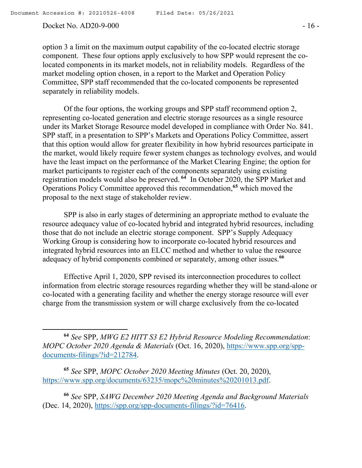l

#### Docket No. AD20-9-000 - 16 -

option 3 a limit on the maximum output capability of the co-located electric storage component. These four options apply exclusively to how SPP would represent the colocated components in its market models, not in reliability models. Regardless of the market modeling option chosen, in a report to the Market and Operation Policy Committee, SPP staff recommended that the co-located components be represented separately in reliability models.

Of the four options, the working groups and SPP staff recommend option 2, representing co-located generation and electric storage resources as a single resource under its Market Storage Resource model developed in compliance with Order No. 841. SPP staff, in a presentation to SPP's Markets and Operations Policy Committee, assert that this option would allow for greater flexibility in how hybrid resources participate in the market, would likely require fewer system changes as technology evolves, and would have the least impact on the performance of the Market Clearing Engine; the option for market participants to register each of the components separately using existing registration models would also be preserved. **<sup>64</sup>** In October 2020, the SPP Market and Operations Policy Committee approved this recommendation,**<sup>65</sup>** which moved the proposal to the next stage of stakeholder review.

SPP is also in early stages of determining an appropriate method to evaluate the resource adequacy value of co-located hybrid and integrated hybrid resources, including those that do not include an electric storage component. SPP's Supply Adequacy Working Group is considering how to incorporate co-located hybrid resources and integrated hybrid resources into an ELCC method and whether to value the resource adequacy of hybrid components combined or separately, among other issues.**<sup>66</sup>**

Effective April 1, 2020, SPP revised its interconnection procedures to collect information from electric storage resources regarding whether they will be stand-alone or co-located with a generating facility and whether the energy storage resource will ever charge from the transmission system or will charge exclusively from the co-located

**<sup>65</sup>** *See* SPP, *MOPC October 2020 Meeting Minutes* (Oct. 20, 2020), https://www.spp.org/documents/63235/mopc%20minutes%20201013.pdf.

**<sup>66</sup>** *See* SPP, *SAWG December 2020 Meeting Agenda and Background Materials* (Dec. 14, 2020), https://spp.org/spp-documents-filings/?id=76416.

**<sup>64</sup>** *See* SPP, *MWG E2 HITT S3 E2 Hybrid Resource Modeling Recommendation*: *MOPC October 2020 Agenda & Materials* (Oct. 16, 2020), https://www.spp.org/sppdocuments-filings/?id=212784.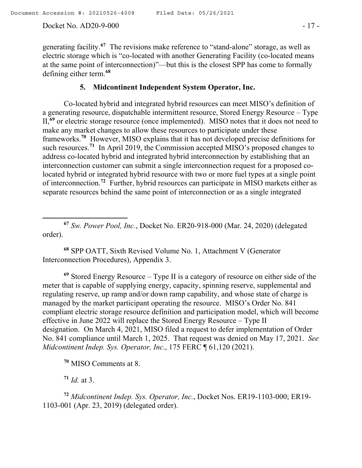Docket No. AD20-9-000 - 17 -

generating facility.**<sup>67</sup>** The revisions make reference to "stand-alone" storage, as well as electric storage which is "co-located with another Generating Facility (co-located means at the same point of interconnection)"—but this is the closest SPP has come to formally defining either term.**<sup>68</sup>**

## **5. Midcontinent Independent System Operator, Inc.**

Co-located hybrid and integrated hybrid resources can meet MISO's definition of a generating resource, dispatchable intermittent resource, Stored Energy Resource – Type II,**<sup>69</sup>** or electric storage resource (once implemented). MISO notes that it does not need to make any market changes to allow these resources to participate under these frameworks.**<sup>70</sup>** However, MISO explains that it has not developed precise definitions for such resources.<sup>71</sup> In April 2019, the Commission accepted MISO's proposed changes to address co-located hybrid and integrated hybrid interconnection by establishing that an interconnection customer can submit a single interconnection request for a proposed colocated hybrid or integrated hybrid resource with two or more fuel types at a single point of interconnection.**<sup>72</sup>** Further, hybrid resources can participate in MISO markets either as separate resources behind the same point of interconnection or as a single integrated

**<sup>67</sup>** *Sw. Power Pool, Inc.*, Docket No. ER20-918-000 (Mar. 24, 2020) (delegated order).

**<sup>68</sup>** SPP OATT, Sixth Revised Volume No. 1, Attachment V (Generator Interconnection Procedures), Appendix 3.

**<sup>69</sup>** Stored Energy Resource – Type II is a category of resource on either side of the meter that is capable of supplying energy, capacity, spinning reserve, supplemental and regulating reserve, up ramp and/or down ramp capability, and whose state of charge is managed by the market participant operating the resource. MISO's Order No. 841 compliant electric storage resource definition and participation model, which will become effective in June 2022 will replace the Stored Energy Resource – Type II designation. On March 4, 2021, MISO filed a request to defer implementation of Order No. 841 compliance until March 1, 2025. That request was denied on May 17, 2021. *See Midcontinent Indep. Sys. Operator, Inc*., 175 FERC ¶ 61,120 (2021).

**<sup>70</sup>** MISO Comments at 8.

 $71$  *Id.* at 3.

l

**<sup>72</sup>** *Midcontinent Indep. Sys. Operator, Inc.*, Docket Nos. ER19-1103-000; ER19- 1103-001 (Apr. 23, 2019) (delegated order).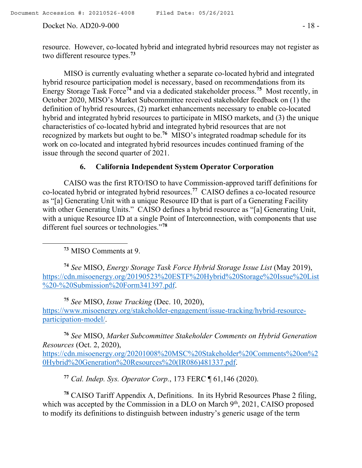#### Docket No. AD20-9-000 - 18 -

resource. However, co-located hybrid and integrated hybrid resources may not register as two different resource types.**<sup>73</sup>**

MISO is currently evaluating whether a separate co-located hybrid and integrated hybrid resource participation model is necessary, based on recommendations from its Energy Storage Task Force**<sup>74</sup>** and via a dedicated stakeholder process.**<sup>75</sup>** Most recently, in October 2020, MISO's Market Subcommittee received stakeholder feedback on (1) the definition of hybrid resources, (2) market enhancements necessary to enable co-located hybrid and integrated hybrid resources to participate in MISO markets, and (3) the unique characteristics of co-located hybrid and integrated hybrid resources that are not recognized by markets but ought to be.**<sup>76</sup>** MISO's integrated roadmap schedule for its work on co-located and integrated hybrid resources incudes continued framing of the issue through the second quarter of 2021.

## **6. California Independent System Operator Corporation**

CAISO was the first RTO/ISO to have Commission-approved tariff definitions for co-located hybrid or integrated hybrid resources.**<sup>77</sup>** CAISO defines a co-located resource as "[a] Generating Unit with a unique Resource ID that is part of a Generating Facility with other Generating Units." CAISO defines a hybrid resource as "[a] Generating Unit, with a unique Resource ID at a single Point of Interconnection, with components that use different fuel sources or technologies."**<sup>78</sup>**

**<sup>73</sup>** MISO Comments at 9.

 $\overline{a}$ 

**<sup>74</sup>** *See* MISO, *Energy Storage Task Force Hybrid Storage Issue List* (May 2019), https://cdn.misoenergy.org/20190523%20ESTF%20Hybrid%20Storage%20Issue%20List %20-%20Submission%20Form341397.pdf.

**<sup>75</sup>** *See* MISO, *Issue Tracking* (Dec. 10, 2020), https://www.misoenergy.org/stakeholder-engagement/issue-tracking/hybrid-resourceparticipation-model/.

**<sup>76</sup>** *See* MISO, *Market Subcommittee Stakeholder Comments on Hybrid Generation Resources* (Oct. 2, 2020), https://cdn.misoenergy.org/20201008%20MSC%20Stakeholder%20Comments%20on%2 0Hybrid%20Generation%20Resources%20(IR086)481337.pdf.

**<sup>77</sup>** *Cal. Indep. Sys. Operator Corp.*, 173 FERC ¶ 61,146 (2020).

**<sup>78</sup>** CAISO Tariff Appendix A, Definitions. In its Hybrid Resources Phase 2 filing, which was accepted by the Commission in a DLO on March  $9<sup>th</sup>$ , 2021, CAISO proposed to modify its definitions to distinguish between industry's generic usage of the term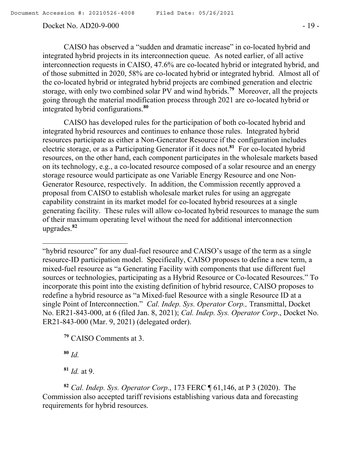#### Docket No. AD20-9-000 - 19 -

CAISO has observed a "sudden and dramatic increase" in co-located hybrid and integrated hybrid projects in its interconnection queue. As noted earlier, of all active interconnection requests in CAISO, 47.6% are co-located hybrid or integrated hybrid, and of those submitted in 2020, 58% are co-located hybrid or integrated hybrid. Almost all of the co-located hybrid or integrated hybrid projects are combined generation and electric storage, with only two combined solar PV and wind hybrids.**<sup>79</sup>** Moreover, all the projects going through the material modification process through 2021 are co-located hybrid or integrated hybrid configurations.**<sup>80</sup>**

CAISO has developed rules for the participation of both co-located hybrid and integrated hybrid resources and continues to enhance those rules. Integrated hybrid resources participate as either a Non-Generator Resource if the configuration includes electric storage, or as a Participating Generator if it does not.**<sup>81</sup>** For co-located hybrid resources, on the other hand, each component participates in the wholesale markets based on its technology, e.g., a co-located resource composed of a solar resource and an energy storage resource would participate as one Variable Energy Resource and one Non-Generator Resource, respectively. In addition, the Commission recently approved a proposal from CAISO to establish wholesale market rules for using an aggregate capability constraint in its market model for co-located hybrid resources at a single generating facility. These rules will allow co-located hybrid resources to manage the sum of their maximum operating level without the need for additional interconnection upgrades.**<sup>82</sup>**

"hybrid resource" for any dual-fuel resource and CAISO's usage of the term as a single resource-ID participation model. Specifically, CAISO proposes to define a new term, a mixed-fuel resource as "a Generating Facility with components that use different fuel sources or technologies, participating as a Hybrid Resource or Co-located Resources." To incorporate this point into the existing definition of hybrid resource, CAISO proposes to redefine a hybrid resource as "a Mixed-fuel Resource with a single Resource ID at a single Point of Interconnection." *Cal. Indep. Sys. Operator Corp.,* Transmittal, Docket No. ER21-843-000, at 6 (filed Jan. 8, 2021); *Cal. Indep. Sys. Operator Corp*., Docket No. ER21-843-000 (Mar. 9, 2021) (delegated order).

**<sup>79</sup>** CAISO Comments at 3.

**<sup>80</sup>** *Id.*

 $\overline{a}$ 

**<sup>81</sup>** *Id.* at 9.

**<sup>82</sup>** *Cal. Indep. Sys. Operator Corp.*, 173 FERC ¶ 61,146, at P 3 (2020). The Commission also accepted tariff revisions establishing various data and forecasting requirements for hybrid resources.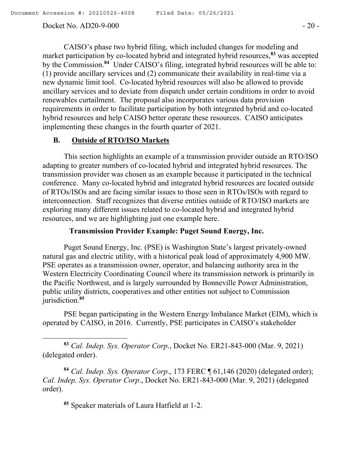$\overline{a}$ 

#### Docket No. AD20-9-000 - 20 -

CAISO's phase two hybrid filing, which included changes for modeling and market participation by co-located hybrid and integrated hybrid resources,**<sup>83</sup>** was accepted by the Commission.**<sup>84</sup>** Under CAISO's filing, integrated hybrid resources will be able to: (1) provide ancillary services and (2) communicate their availability in real-time via a new dynamic limit tool. Co-located hybrid resources will also be allowed to provide ancillary services and to deviate from dispatch under certain conditions in order to avoid renewables curtailment. The proposal also incorporates various data provision requirements in order to facilitate participation by both integrated hybrid and co-located hybrid resources and help CAISO better operate these resources. CAISO anticipates implementing these changes in the fourth quarter of 2021.

## **B. Outside of RTO/ISO Markets**

This section highlights an example of a transmission provider outside an RTO/ISO adapting to greater numbers of co-located hybrid and integrated hybrid resources. The transmission provider was chosen as an example because it participated in the technical conference. Many co-located hybrid and integrated hybrid resources are located outside of RTOs/ISOs and are facing similar issues to those seen in RTOs/ISOs with regard to interconnection. Staff recognizes that diverse entities outside of RTO/ISO markets are exploring many different issues related to co-located hybrid and integrated hybrid resources, and we are highlighting just one example here.

### **Transmission Provider Example: Puget Sound Energy, Inc.**

Puget Sound Energy, Inc. (PSE) is Washington State's largest privately-owned natural gas and electric utility, with a historical peak load of approximately 4,900 MW. PSE operates as a transmission owner, operator, and balancing authority area in the Western Electricity Coordinating Council where its transmission network is primarily in the Pacific Northwest, and is largely surrounded by Bonneville Power Administration, public utility districts, cooperatives and other entities not subject to Commission jurisdiction.**<sup>85</sup>**

PSE began participating in the Western Energy Imbalance Market (EIM), which is operated by CAISO, in 2016. Currently, PSE participates in CAISO's stakeholder

**<sup>83</sup>** *Cal. Indep. Sys. Operator Corp*., Docket No. ER21-843-000 (Mar. 9, 2021) (delegated order).

**<sup>84</sup>** *Cal. Indep. Sys. Operator Corp*., 173 FERC ¶ 61,146 (2020) (delegated order); *Cal. Indep. Sys. Operator Corp*., Docket No. ER21-843-000 (Mar. 9, 2021) (delegated order).

**<sup>85</sup>** Speaker materials of Laura Hatfield at 1-2.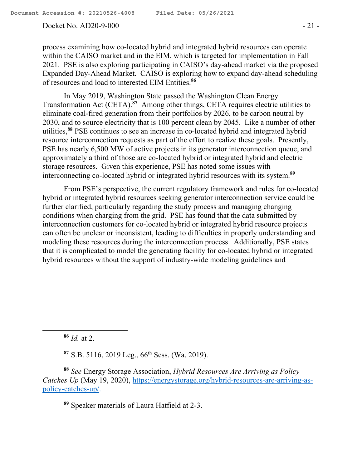Docket No. AD20-9-000 - 21 -

process examining how co-located hybrid and integrated hybrid resources can operate within the CAISO market and in the EIM, which is targeted for implementation in Fall 2021. PSE is also exploring participating in CAISO's day-ahead market via the proposed Expanded Day-Ahead Market. CAISO is exploring how to expand day-ahead scheduling of resources and load to interested EIM Entities.**<sup>86</sup>**

In May 2019, Washington State passed the Washington Clean Energy Transformation Act (CETA).<sup>87</sup> Among other things, CETA requires electric utilities to eliminate coal-fired generation from their portfolios by 2026, to be carbon neutral by 2030, and to source electricity that is 100 percent clean by 2045. Like a number of other utilities,**<sup>88</sup>** PSE continues to see an increase in co-located hybrid and integrated hybrid resource interconnection requests as part of the effort to realize these goals. Presently, PSE has nearly 6,500 MW of active projects in its generator interconnection queue, and approximately a third of those are co-located hybrid or integrated hybrid and electric storage resources. Given this experience, PSE has noted some issues with interconnecting co-located hybrid or integrated hybrid resources with its system.**<sup>89</sup>**

From PSE's perspective, the current regulatory framework and rules for co-located hybrid or integrated hybrid resources seeking generator interconnection service could be further clarified, particularly regarding the study process and managing changing conditions when charging from the grid. PSE has found that the data submitted by interconnection customers for co-located hybrid or integrated hybrid resource projects can often be unclear or inconsistent, leading to difficulties in properly understanding and modeling these resources during the interconnection process. Additionally, PSE states that it is complicated to model the generating facility for co-located hybrid or integrated hybrid resources without the support of industry-wide modeling guidelines and

**<sup>86</sup>** *Id.* at 2.

l

**<sup>87</sup>** S.B. 5116, 2019 Leg., 66th Sess. (Wa. 2019).

**<sup>88</sup>** *See* Energy Storage Association, *Hybrid Resources Are Arriving as Policy Catches Up* (May 19, 2020), https://energystorage.org/hybrid-resources-are-arriving-aspolicy-catches-up/.

**<sup>89</sup>** Speaker materials of Laura Hatfield at 2-3.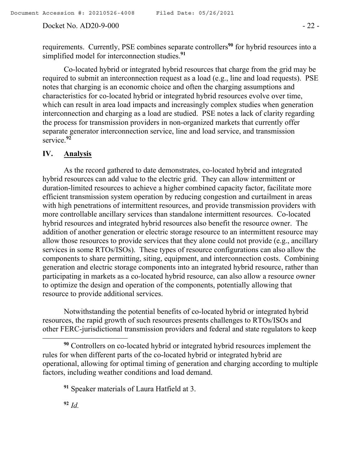Docket No. AD20-9-000 - 22 -

requirements. Currently, PSE combines separate controllers<sup>90</sup> for hybrid resources into a simplified model for interconnection studies.**<sup>91</sup>**

Co-located hybrid or integrated hybrid resources that charge from the grid may be required to submit an interconnection request as a load (e.g., line and load requests). PSE notes that charging is an economic choice and often the charging assumptions and characteristics for co-located hybrid or integrated hybrid resources evolve over time, which can result in area load impacts and increasingly complex studies when generation interconnection and charging as a load are studied. PSE notes a lack of clarity regarding the process for transmission providers in non-organized markets that currently offer separate generator interconnection service, line and load service, and transmission service.**<sup>92</sup>**

## **IV. Analysis**

As the record gathered to date demonstrates, co-located hybrid and integrated hybrid resources can add value to the electric grid. They can allow intermittent or duration-limited resources to achieve a higher combined capacity factor, facilitate more efficient transmission system operation by reducing congestion and curtailment in areas with high penetrations of intermittent resources, and provide transmission providers with more controllable ancillary services than standalone intermittent resources. Co-located hybrid resources and integrated hybrid resources also benefit the resource owner. The addition of another generation or electric storage resource to an intermittent resource may allow those resources to provide services that they alone could not provide (e.g., ancillary services in some RTOs/ISOs). These types of resource configurations can also allow the components to share permitting, siting, equipment, and interconnection costs. Combining generation and electric storage components into an integrated hybrid resource, rather than participating in markets as a co-located hybrid resource, can also allow a resource owner to optimize the design and operation of the components, potentially allowing that resource to provide additional services.

Notwithstanding the potential benefits of co-located hybrid or integrated hybrid resources, the rapid growth of such resources presents challenges to RTOs/ISOs and other FERC-jurisdictional transmission providers and federal and state regulators to keep

 $\overline{a}$ 

**<sup>90</sup>** Controllers on co-located hybrid or integrated hybrid resources implement the rules for when different parts of the co-located hybrid or integrated hybrid are operational, allowing for optimal timing of generation and charging according to multiple factors, including weather conditions and load demand.

**<sup>91</sup>** Speaker materials of Laura Hatfield at 3.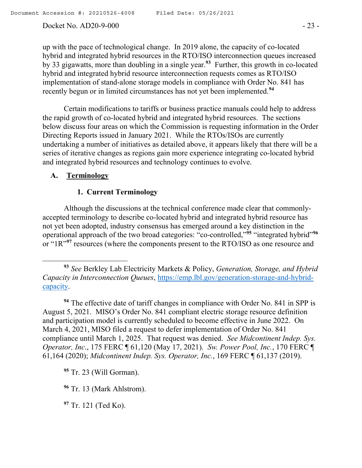#### Docket No. AD20-9-000 - 23 -

up with the pace of technological change. In 2019 alone, the capacity of co-located hybrid and integrated hybrid resources in the RTO/ISO interconnection queues increased by 33 gigawatts, more than doubling in a single year.**<sup>93</sup>** Further, this growth in co-located hybrid and integrated hybrid resource interconnection requests comes as RTO/ISO implementation of stand-alone storage models in compliance with Order No. 841 has recently begun or in limited circumstances has not yet been implemented.**<sup>94</sup>**

Certain modifications to tariffs or business practice manuals could help to address the rapid growth of co-located hybrid and integrated hybrid resources. The sections below discuss four areas on which the Commission is requesting information in the Order Directing Reports issued in January 2021. While the RTOs/ISOs are currently undertaking a number of initiatives as detailed above, it appears likely that there will be a series of iterative changes as regions gain more experience integrating co-located hybrid and integrated hybrid resources and technology continues to evolve.

## **A. Terminology**

l

## **1. Current Terminology**

Although the discussions at the technical conference made clear that commonlyaccepted terminology to describe co-located hybrid and integrated hybrid resource has not yet been adopted, industry consensus has emerged around a key distinction in the operational approach of the two broad categories: "co-controlled,"**<sup>95</sup>** "integrated hybrid"**<sup>96</sup>** or "1R"<sup>97</sup> resources (where the components present to the RTO/ISO as one resource and

**<sup>94</sup>** The effective date of tariff changes in compliance with Order No. 841 in SPP is August 5, 2021. MISO's Order No. 841 compliant electric storage resource definition and participation model is currently scheduled to become effective in June 2022. On March 4, 2021, MISO filed a request to defer implementation of Order No. 841 compliance until March 1, 2025. That request was denied. *See Midcontinent Indep. Sys. Operator, Inc*., 175 FERC ¶ 61,120 (May 17, 2021). *Sw. Power Pool, Inc.*, 170 FERC ¶ 61,164 (2020); *Midcontinent Indep. Sys. Operator, Inc.*, 169 FERC ¶ 61,137 (2019).

**<sup>95</sup>** Tr. 23 (Will Gorman).

**<sup>96</sup>** Tr. 13 (Mark Ahlstrom).

**<sup>97</sup>** Tr. 121 (Ted Ko).

**<sup>93</sup>** *See* Berkley Lab Electricity Markets & Policy, *Generation, Storage, and Hybrid Capacity in Interconnection Queues*, https://emp.lbl.gov/generation-storage-and-hybridcapacity.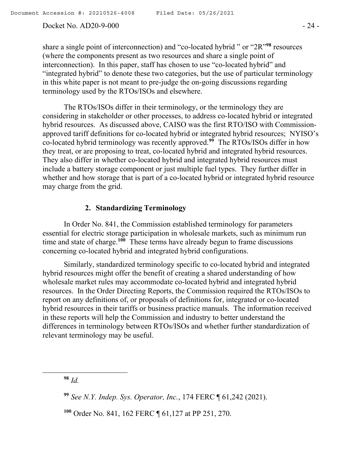#### Docket No. AD20-9-000 - 24 -

share a single point of interconnection) and "co-located hybrid " or "2R"**<sup>98</sup>** resources (where the components present as two resources and share a single point of interconnection). In this paper, staff has chosen to use "co-located hybrid" and "integrated hybrid" to denote these two categories, but the use of particular terminology in this white paper is not meant to pre-judge the on-going discussions regarding terminology used by the RTOs/ISOs and elsewhere.

The RTOs/ISOs differ in their terminology, or the terminology they are considering in stakeholder or other processes, to address co-located hybrid or integrated hybrid resources. As discussed above, CAISO was the first RTO/ISO with Commissionapproved tariff definitions for co-located hybrid or integrated hybrid resources; NYISO's co-located hybrid terminology was recently approved.**<sup>99</sup>** The RTOs/ISOs differ in how they treat, or are proposing to treat, co-located hybrid and integrated hybrid resources. They also differ in whether co-located hybrid and integrated hybrid resources must include a battery storage component or just multiple fuel types. They further differ in whether and how storage that is part of a co-located hybrid or integrated hybrid resource may charge from the grid.

#### **2. Standardizing Terminology**

In Order No. 841, the Commission established terminology for parameters essential for electric storage participation in wholesale markets, such as minimum run time and state of charge.**<sup>100</sup>** These terms have already begun to frame discussions concerning co-located hybrid and integrated hybrid configurations.

Similarly, standardized terminology specific to co-located hybrid and integrated hybrid resources might offer the benefit of creating a shared understanding of how wholesale market rules may accommodate co-located hybrid and integrated hybrid resources. In the Order Directing Reports, the Commission required the RTOs/ISOs to report on any definitions of, or proposals of definitions for, integrated or co-located hybrid resources in their tariffs or business practice manuals. The information received in these reports will help the Commission and industry to better understand the differences in terminology between RTOs/ISOs and whether further standardization of relevant terminology may be useful.

**<sup>98</sup>** *Id.*

 $\overline{\phantom{a}}$ 

**<sup>100</sup>** Order No. 841, 162 FERC ¶ 61,127 at PP 251, 270.

**<sup>99</sup>** *See N.Y. Indep. Sys. Operator, Inc.*, 174 FERC ¶ 61,242 (2021).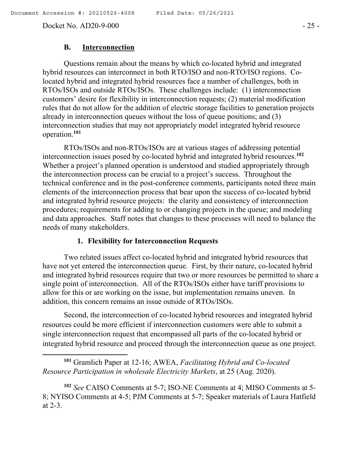l

Docket No. AD20-9-000 - 25 -

#### **B. Interconnection**

Questions remain about the means by which co-located hybrid and integrated hybrid resources can interconnect in both RTO/ISO and non-RTO/ISO regions. Colocated hybrid and integrated hybrid resources face a number of challenges, both in RTOs/ISOs and outside RTOs/ISOs. These challenges include: (1) interconnection customers' desire for flexibility in interconnection requests; (2) material modification rules that do not allow for the addition of electric storage facilities to generation projects already in interconnection queues without the loss of queue positions; and (3) interconnection studies that may not appropriately model integrated hybrid resource operation.**<sup>101</sup>**

RTOs/ISOs and non-RTOs/ISOs are at various stages of addressing potential interconnection issues posed by co-located hybrid and integrated hybrid resources.**<sup>102</sup>** Whether a project's planned operation is understood and studied appropriately through the interconnection process can be crucial to a project's success. Throughout the technical conference and in the post-conference comments, participants noted three main elements of the interconnection process that bear upon the success of co-located hybrid and integrated hybrid resource projects: the clarity and consistency of interconnection procedures; requirements for adding to or changing projects in the queue; and modeling and data approaches. Staff notes that changes to these processes will need to balance the needs of many stakeholders.

### **1. Flexibility for Interconnection Requests**

Two related issues affect co-located hybrid and integrated hybrid resources that have not yet entered the interconnection queue. First, by their nature, co-located hybrid and integrated hybrid resources require that two or more resources be permitted to share a single point of interconnection. All of the RTOs/ISOs either have tariff provisions to allow for this or are working on the issue, but implementation remains uneven. In addition, this concern remains an issue outside of RTOs/ISOs.

Second, the interconnection of co-located hybrid resources and integrated hybrid resources could be more efficient if interconnection customers were able to submit a single interconnection request that encompassed all parts of the co-located hybrid or integrated hybrid resource and proceed through the interconnection queue as one project.

**<sup>101</sup>** Gramlich Paper at 12-16; AWEA, *Facilitating Hybrid and Co-located Resource Participation in wholesale Electricity Markets*, at 25 (Aug. 2020).

**<sup>102</sup>** *See* CAISO Comments at 5-7; ISO-NE Comments at 4; MISO Comments at 5- 8; NYISO Comments at 4-5; PJM Comments at 5-7; Speaker materials of Laura Hatfield at 2-3.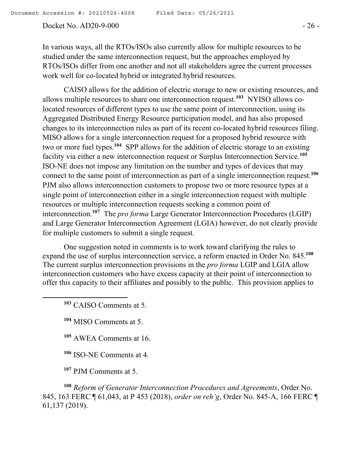#### Docket No. AD20-9-000 - 26 -

In various ways, all the RTOs/ISOs also currently allow for multiple resources to be studied under the same interconnection request, but the approaches employed by RTOs/ISOs differ from one another and not all stakeholders agree the current processes work well for co-located hybrid or integrated hybrid resources.

CAISO allows for the addition of electric storage to new or existing resources, and allows multiple resources to share one interconnection request.**<sup>103</sup>** NYISO allows colocated resources of different types to use the same point of interconnection, using its Aggregated Distributed Energy Resource participation model, and has also proposed changes to its interconnection rules as part of its recent co-located hybrid resources filing. MISO allows for a single interconnection request for a proposed hybrid resource with two or more fuel types.<sup>104</sup> SPP allows for the addition of electric storage to an existing facility via either a new interconnection request or Surplus Interconnection Service.**<sup>105</sup>** ISO-NE does not impose any limitation on the number and types of devices that may connect to the same point of interconnection as part of a single interconnection request.**<sup>106</sup>** PJM also allows interconnection customers to propose two or more resource types at a single point of interconnection either in a single interconnection request with multiple resources or multiple interconnection requests seeking a common point of interconnection.**<sup>107</sup>** The *pro forma* Large Generator Interconnection Procedures (LGIP) and Large Generator Interconnection Agreement (LGIA) however, do not clearly provide for multiple customers to submit a single request.

One suggestion noted in comments is to work toward clarifying the rules to expand the use of surplus interconnection service, a reform enacted in Order No. 845.**<sup>108</sup>** The current surplus interconnection provisions in the *pro forma* LGIP and LGIA allow interconnection customers who have excess capacity at their point of interconnection to offer this capacity to their affiliates and possibly to the public. This provision applies to

**<sup>103</sup>** CAISO Comments at 5.

l

**<sup>104</sup>** MISO Comments at 5.

**<sup>105</sup>** AWEA Comments at 16.

**<sup>106</sup>** ISO-NE Comments at 4.

**<sup>107</sup>** PJM Comments at 5.

**<sup>108</sup>** *Reform of Generator Interconnection Procedures and Agreements*, Order No. 845, 163 FERC ¶ 61,043, at P 453 (2018), *order on reh'g*, Order No. 845-A, 166 FERC ¶ 61,137 (2019).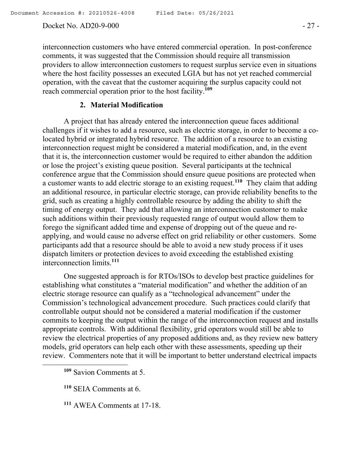#### Docket No. AD20-9-000 - 27 -

interconnection customers who have entered commercial operation. In post-conference comments, it was suggested that the Commission should require all transmission providers to allow interconnection customers to request surplus service even in situations where the host facility possesses an executed LGIA but has not yet reached commercial operation, with the caveat that the customer acquiring the surplus capacity could not reach commercial operation prior to the host facility.**<sup>109</sup>**

#### **2. Material Modification**

A project that has already entered the interconnection queue faces additional challenges if it wishes to add a resource, such as electric storage, in order to become a colocated hybrid or integrated hybrid resource. The addition of a resource to an existing interconnection request might be considered a material modification, and, in the event that it is, the interconnection customer would be required to either abandon the addition or lose the project's existing queue position. Several participants at the technical conference argue that the Commission should ensure queue positions are protected when a customer wants to add electric storage to an existing request.**<sup>110</sup>** They claim that adding an additional resource, in particular electric storage, can provide reliability benefits to the grid, such as creating a highly controllable resource by adding the ability to shift the timing of energy output. They add that allowing an interconnection customer to make such additions within their previously requested range of output would allow them to forego the significant added time and expense of dropping out of the queue and reapplying, and would cause no adverse effect on grid reliability or other customers. Some participants add that a resource should be able to avoid a new study process if it uses dispatch limiters or protection devices to avoid exceeding the established existing interconnection limits.**<sup>111</sup>**

One suggested approach is for RTOs/ISOs to develop best practice guidelines for establishing what constitutes a "material modification" and whether the addition of an electric storage resource can qualify as a "technological advancement" under the Commission's technological advancement procedure. Such practices could clarify that controllable output should not be considered a material modification if the customer commits to keeping the output within the range of the interconnection request and installs appropriate controls. With additional flexibility, grid operators would still be able to review the electrical properties of any proposed additions and, as they review new battery models, grid operators can help each other with these assessments, speeding up their review. Commenters note that it will be important to better understand electrical impacts

 $\overline{\phantom{a}}$ 

- **<sup>110</sup>** SEIA Comments at 6.
- **<sup>111</sup>** AWEA Comments at 17-18.

**<sup>109</sup>** Savion Comments at 5.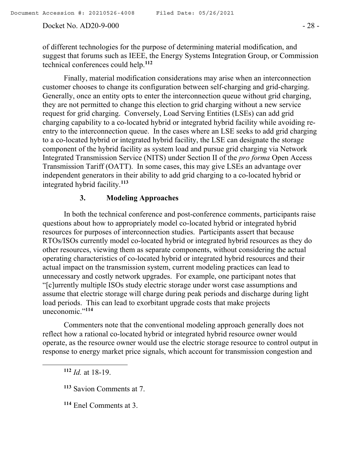#### Docket No. AD20-9-000 - 28 -

of different technologies for the purpose of determining material modification, and suggest that forums such as IEEE, the Energy Systems Integration Group, or Commission technical conferences could help.**<sup>112</sup>**

Finally, material modification considerations may arise when an interconnection customer chooses to change its configuration between self-charging and grid-charging. Generally, once an entity opts to enter the interconnection queue without grid charging, they are not permitted to change this election to grid charging without a new service request for grid charging. Conversely, Load Serving Entities (LSEs) can add grid charging capability to a co-located hybrid or integrated hybrid facility while avoiding reentry to the interconnection queue. In the cases where an LSE seeks to add grid charging to a co-located hybrid or integrated hybrid facility, the LSE can designate the storage component of the hybrid facility as system load and pursue grid charging via Network Integrated Transmission Service (NITS) under Section II of the *pro forma* Open Access Transmission Tariff (OATT). In some cases, this may give LSEs an advantage over independent generators in their ability to add grid charging to a co-located hybrid or integrated hybrid facility.**<sup>113</sup>**

## **3. Modeling Approaches**

In both the technical conference and post-conference comments, participants raise questions about how to appropriately model co-located hybrid or integrated hybrid resources for purposes of interconnection studies. Participants assert that because RTOs/ISOs currently model co-located hybrid or integrated hybrid resources as they do other resources, viewing them as separate components, without considering the actual operating characteristics of co-located hybrid or integrated hybrid resources and their actual impact on the transmission system, current modeling practices can lead to unnecessary and costly network upgrades. For example, one participant notes that "[c]urrently multiple ISOs study electric storage under worst case assumptions and assume that electric storage will charge during peak periods and discharge during light load periods. This can lead to exorbitant upgrade costs that make projects uneconomic."**<sup>114</sup>**

Commenters note that the conventional modeling approach generally does not reflect how a rational co-located hybrid or integrated hybrid resource owner would operate, as the resource owner would use the electric storage resource to control output in response to energy market price signals, which account for transmission congestion and

**<sup>112</sup>** *Id.* at 18-19.

 $\overline{\phantom{a}}$ 

**<sup>114</sup>** Enel Comments at 3.

**<sup>113</sup>** Savion Comments at 7.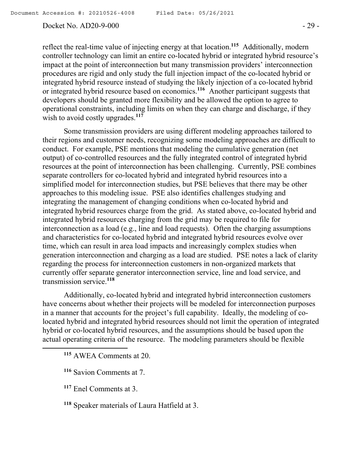#### Docket No. AD20-9-000 - 29 -

reflect the real-time value of injecting energy at that location.**<sup>115</sup>** Additionally, modern controller technology can limit an entire co-located hybrid or integrated hybrid resource's impact at the point of interconnection but many transmission providers' interconnection procedures are rigid and only study the full injection impact of the co-located hybrid or integrated hybrid resource instead of studying the likely injection of a co-located hybrid or integrated hybrid resource based on economics.**<sup>116</sup>** Another participant suggests that developers should be granted more flexibility and be allowed the option to agree to operational constraints, including limits on when they can charge and discharge, if they wish to avoid costly upgrades.<sup>117</sup>

Some transmission providers are using different modeling approaches tailored to their regions and customer needs, recognizing some modeling approaches are difficult to conduct. For example, PSE mentions that modeling the cumulative generation (net output) of co-controlled resources and the fully integrated control of integrated hybrid resources at the point of interconnection has been challenging. Currently, PSE combines separate controllers for co-located hybrid and integrated hybrid resources into a simplified model for interconnection studies, but PSE believes that there may be other approaches to this modeling issue. PSE also identifies challenges studying and integrating the management of changing conditions when co-located hybrid and integrated hybrid resources charge from the grid. As stated above, co-located hybrid and integrated hybrid resources charging from the grid may be required to file for interconnection as a load (e.g., line and load requests). Often the charging assumptions and characteristics for co-located hybrid and integrated hybrid resources evolve over time, which can result in area load impacts and increasingly complex studies when generation interconnection and charging as a load are studied. PSE notes a lack of clarity regarding the process for interconnection customers in non-organized markets that currently offer separate generator interconnection service, line and load service, and transmission service.**<sup>118</sup>**

Additionally, co-located hybrid and integrated hybrid interconnection customers have concerns about whether their projects will be modeled for interconnection purposes in a manner that accounts for the project's full capability. Ideally, the modeling of colocated hybrid and integrated hybrid resources should not limit the operation of integrated hybrid or co-located hybrid resources, and the assumptions should be based upon the actual operating criteria of the resource. The modeling parameters should be flexible

**<sup>115</sup>** AWEA Comments at 20.

**<sup>117</sup>** Enel Comments at 3.

 $\overline{a}$ 

**<sup>118</sup>** Speaker materials of Laura Hatfield at 3.

**<sup>116</sup>** Savion Comments at 7.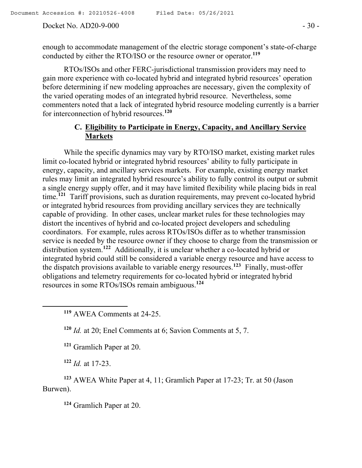Docket No. AD20-9-000 - 30 -

enough to accommodate management of the electric storage component's state-of-charge conducted by either the RTO/ISO or the resource owner or operator.**<sup>119</sup>**

RTOs/ISOs and other FERC-jurisdictional transmission providers may need to gain more experience with co-located hybrid and integrated hybrid resources' operation before determining if new modeling approaches are necessary, given the complexity of the varied operating modes of an integrated hybrid resource. Nevertheless, some commenters noted that a lack of integrated hybrid resource modeling currently is a barrier for interconnection of hybrid resources.**<sup>120</sup>**

## **C. Eligibility to Participate in Energy, Capacity, and Ancillary Service Markets**

While the specific dynamics may vary by RTO/ISO market, existing market rules limit co-located hybrid or integrated hybrid resources' ability to fully participate in energy, capacity, and ancillary services markets. For example, existing energy market rules may limit an integrated hybrid resource's ability to fully control its output or submit a single energy supply offer, and it may have limited flexibility while placing bids in real time.**<sup>121</sup>** Tariff provisions, such as duration requirements, may prevent co-located hybrid or integrated hybrid resources from providing ancillary services they are technically capable of providing. In other cases, unclear market rules for these technologies may distort the incentives of hybrid and co-located project developers and scheduling coordinators. For example, rules across RTOs/ISOs differ as to whether transmission service is needed by the resource owner if they choose to charge from the transmission or distribution system.**<sup>122</sup>** Additionally, it is unclear whether a co-located hybrid or integrated hybrid could still be considered a variable energy resource and have access to the dispatch provisions available to variable energy resources.**<sup>123</sup>** Finally, must-offer obligations and telemetry requirements for co-located hybrid or integrated hybrid resources in some RTOs/ISOs remain ambiguous.**<sup>124</sup>**

**<sup>119</sup>** AWEA Comments at 24-25.

**<sup>120</sup>** *Id.* at 20; Enel Comments at 6; Savion Comments at 5, 7.

**<sup>121</sup>** Gramlich Paper at 20.

**<sup>122</sup>** *Id.* at 17-23.

 $\overline{a}$ 

**<sup>123</sup>** AWEA White Paper at 4, 11; Gramlich Paper at 17-23; Tr. at 50 (Jason Burwen).

**<sup>124</sup>** Gramlich Paper at 20.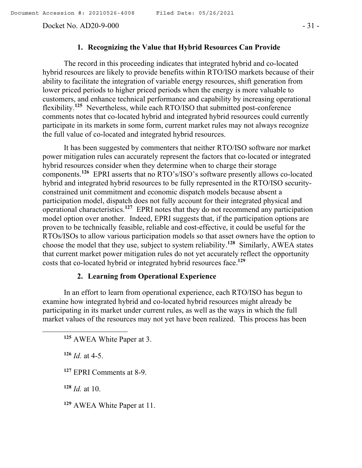Docket No. AD20-9-000 - 31 -

#### **1. Recognizing the Value that Hybrid Resources Can Provide**

The record in this proceeding indicates that integrated hybrid and co-located hybrid resources are likely to provide benefits within RTO/ISO markets because of their ability to facilitate the integration of variable energy resources, shift generation from lower priced periods to higher priced periods when the energy is more valuable to customers, and enhance technical performance and capability by increasing operational flexibility.**<sup>125</sup>** Nevertheless, while each RTO/ISO that submitted post-conference comments notes that co-located hybrid and integrated hybrid resources could currently participate in its markets in some form, current market rules may not always recognize the full value of co-located and integrated hybrid resources.

It has been suggested by commenters that neither RTO/ISO software nor market power mitigation rules can accurately represent the factors that co-located or integrated hybrid resources consider when they determine when to charge their storage components.**<sup>126</sup>** EPRI asserts that no RTO's/ISO's software presently allows co-located hybrid and integrated hybrid resources to be fully represented in the RTO/ISO securityconstrained unit commitment and economic dispatch models because absent a participation model, dispatch does not fully account for their integrated physical and operational characteristics.**<sup>127</sup>** EPRI notes that they do not recommend any participation model option over another. Indeed, EPRI suggests that, if the participation options are proven to be technically feasible, reliable and cost-effective, it could be useful for the RTOs/ISOs to allow various participation models so that asset owners have the option to choose the model that they use, subject to system reliability.**<sup>128</sup>** Similarly, AWEA states that current market power mitigation rules do not yet accurately reflect the opportunity costs that co-located hybrid or integrated hybrid resources face.**<sup>129</sup>**

## **2. Learning from Operational Experience**

In an effort to learn from operational experience, each RTO/ISO has begun to examine how integrated hybrid and co-located hybrid resources might already be participating in its market under current rules, as well as the ways in which the full market values of the resources may not yet have been realized. This process has been

**<sup>125</sup>** AWEA White Paper at 3.

 $126$  *Id.* at 4-5.

 $\overline{\phantom{a}}$ 

**<sup>127</sup>** EPRI Comments at 8-9.

**<sup>128</sup>** *Id.* at 10.

**<sup>129</sup>** AWEA White Paper at 11.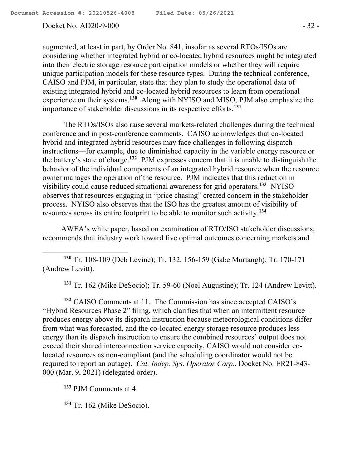$\overline{\phantom{a}}$ 

Docket No. AD20-9-000 - 32 -

augmented, at least in part, by Order No. 841, insofar as several RTOs/ISOs are considering whether integrated hybrid or co-located hybrid resources might be integrated into their electric storage resource participation models or whether they will require unique participation models for these resource types. During the technical conference, CAISO and PJM, in particular, state that they plan to study the operational data of existing integrated hybrid and co-located hybrid resources to learn from operational experience on their systems.<sup>130</sup> Along with NYISO and MISO, PJM also emphasize the importance of stakeholder discussions in its respective efforts.**<sup>131</sup>**

The RTOs/ISOs also raise several markets-related challenges during the technical conference and in post-conference comments. CAISO acknowledges that co-located hybrid and integrated hybrid resources may face challenges in following dispatch instructions—for example, due to diminished capacity in the variable energy resource or the battery's state of charge.**<sup>132</sup>** PJM expresses concern that it is unable to distinguish the behavior of the individual components of an integrated hybrid resource when the resource owner manages the operation of the resource. PJM indicates that this reduction in visibility could cause reduced situational awareness for grid operators.**<sup>133</sup>** NYISO observes that resources engaging in "price chasing" created concern in the stakeholder process. NYISO also observes that the ISO has the greatest amount of visibility of resources across its entire footprint to be able to monitor such activity.**<sup>134</sup>**

AWEA's white paper, based on examination of RTO/ISO stakeholder discussions, recommends that industry work toward five optimal outcomes concerning markets and

**<sup>130</sup>** Tr. 108-109 (Deb Levine); Tr. 132, 156-159 (Gabe Murtaugh); Tr. 170-171 (Andrew Levitt).

**<sup>131</sup>** Tr. 162 (Mike DeSocio); Tr. 59-60 (Noel Augustine); Tr. 124 (Andrew Levitt).

**<sup>132</sup>** CAISO Comments at 11. The Commission has since accepted CAISO's "Hybrid Resources Phase 2" filing, which clarifies that when an intermittent resource produces energy above its dispatch instruction because meteorological conditions differ from what was forecasted, and the co-located energy storage resource produces less energy than its dispatch instruction to ensure the combined resources' output does not exceed their shared interconnection service capacity, CAISO would not consider colocated resources as non-compliant (and the scheduling coordinator would not be required to report an outage). *Cal. Indep. Sys. Operator Corp*., Docket No. ER21-843- 000 (Mar. 9, 2021) (delegated order).

**<sup>133</sup>** PJM Comments at 4.

**<sup>134</sup>** Tr. 162 (Mike DeSocio).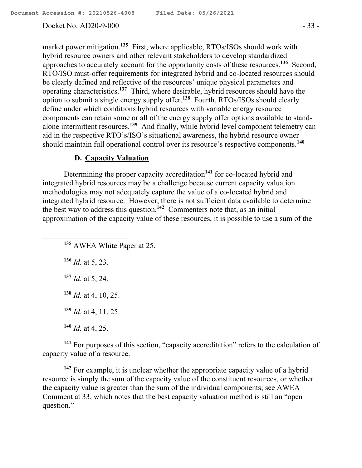#### Docket No. AD20-9-000 - 33 -

market power mitigation.**<sup>135</sup>** First, where applicable, RTOs/ISOs should work with hybrid resource owners and other relevant stakeholders to develop standardized approaches to accurately account for the opportunity costs of these resources.**<sup>136</sup>** Second, RTO/ISO must-offer requirements for integrated hybrid and co-located resources should be clearly defined and reflective of the resources' unique physical parameters and operating characteristics.**<sup>137</sup>** Third, where desirable, hybrid resources should have the option to submit a single energy supply offer. **138** Fourth, RTOs/ISOs should clearly define under which conditions hybrid resources with variable energy resource components can retain some or all of the energy supply offer options available to standalone intermittent resources.**<sup>139</sup>** And finally, while hybrid level component telemetry can aid in the respective RTO's/ISO's situational awareness, the hybrid resource owner should maintain full operational control over its resource's respective components.**<sup>140</sup>**

## **D. Capacity Valuation**

Determining the proper capacity accreditation**<sup>141</sup>** for co-located hybrid and integrated hybrid resources may be a challenge because current capacity valuation methodologies may not adequately capture the value of a co-located hybrid and integrated hybrid resource. However, there is not sufficient data available to determine the best way to address this question.**<sup>142</sup>** Commenters note that, as an initial approximation of the capacity value of these resources, it is possible to use a sum of the

**<sup>136</sup>** *Id.* at 5, 23.

 $\overline{\phantom{a}}$ 

- **<sup>137</sup>** *Id.* at 5, 24.
- **<sup>138</sup>** *Id.* at 4, 10, 25.
- **<sup>139</sup>** *Id.* at 4, 11, 25.
- **<sup>140</sup>** *Id.* at 4, 25.

**<sup>141</sup>** For purposes of this section, "capacity accreditation" refers to the calculation of capacity value of a resource.

**<sup>142</sup>** For example, it is unclear whether the appropriate capacity value of a hybrid resource is simply the sum of the capacity value of the constituent resources, or whether the capacity value is greater than the sum of the individual components; see AWEA Comment at 33, which notes that the best capacity valuation method is still an "open question."

**<sup>135</sup>** AWEA White Paper at 25.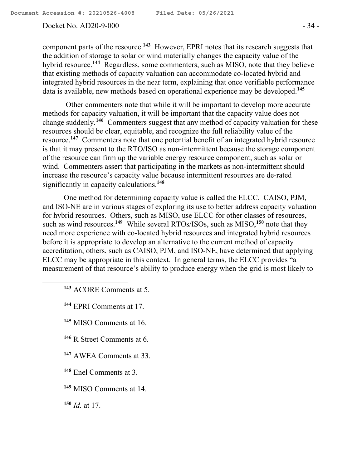#### Docket No. AD20-9-000 - 34 -

component parts of the resource.**<sup>143</sup>** However, EPRI notes that its research suggests that the addition of storage to solar or wind materially changes the capacity value of the hybrid resource.**<sup>144</sup>** Regardless, some commenters, such as MISO, note that they believe that existing methods of capacity valuation can accommodate co-located hybrid and integrated hybrid resources in the near term, explaining that once verifiable performance data is available, new methods based on operational experience may be developed.**<sup>145</sup>**

Other commenters note that while it will be important to develop more accurate methods for capacity valuation, it will be important that the capacity value does not change suddenly.**<sup>146</sup>** Commenters suggest that any method of capacity valuation for these resources should be clear, equitable, and recognize the full reliability value of the resource.<sup>147</sup> Commenters note that one potential benefit of an integrated hybrid resource is that it may present to the RTO/ISO as non-intermittent because the storage component of the resource can firm up the variable energy resource component, such as solar or wind. Commenters assert that participating in the markets as non-intermittent should increase the resource's capacity value because intermittent resources are de-rated significantly in capacity calculations.**<sup>148</sup>**

One method for determining capacity value is called the ELCC. CAISO, PJM, and ISO-NE are in various stages of exploring its use to better address capacity valuation for hybrid resources. Others, such as MISO, use ELCC for other classes of resources, such as wind resources.**<sup>149</sup>** While several RTOs/ISOs, such as MISO,**<sup>150</sup>** note that they need more experience with co-located hybrid resources and integrated hybrid resources before it is appropriate to develop an alternative to the current method of capacity accreditation, others, such as CAISO, PJM, and ISO-NE, have determined that applying ELCC may be appropriate in this context. In general terms, the ELCC provides "a measurement of that resource's ability to produce energy when the grid is most likely to

- **<sup>143</sup>** ACORE Comments at 5.
- **<sup>144</sup>** EPRI Comments at 17.
- **<sup>145</sup>** MISO Comments at 16.
- **<sup>146</sup>** R Street Comments at 6.
- **<sup>147</sup>** AWEA Comments at 33.
- **<sup>148</sup>** Enel Comments at 3.
- **<sup>149</sup>** MISO Comments at 14.
- **<sup>150</sup>** *Id.* at 17.

 $\overline{\phantom{a}}$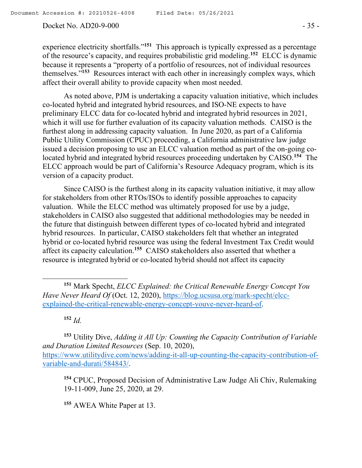#### Docket No. AD20-9-000 - 35 -

experience electricity shortfalls."<sup>151</sup> This approach is typically expressed as a percentage of the resource's capacity, and requires probabilistic grid modeling.**<sup>152</sup>** ELCC is dynamic because it represents a "property of a portfolio of resources, not of individual resources themselves."**<sup>153</sup>** Resources interact with each other in increasingly complex ways, which affect their overall ability to provide capacity when most needed.

As noted above, PJM is undertaking a capacity valuation initiative, which includes co-located hybrid and integrated hybrid resources, and ISO-NE expects to have preliminary ELCC data for co-located hybrid and integrated hybrid resources in 2021, which it will use for further evaluation of its capacity valuation methods. CAISO is the furthest along in addressing capacity valuation. In June 2020, as part of a California Public Utility Commission (CPUC) proceeding, a California administrative law judge issued a decision proposing to use an ELCC valuation method as part of the on-going colocated hybrid and integrated hybrid resources proceeding undertaken by CAISO.**<sup>154</sup>** The ELCC approach would be part of California's Resource Adequacy program, which is its version of a capacity product.

Since CAISO is the furthest along in its capacity valuation initiative, it may allow for stakeholders from other RTOs/ISOs to identify possible approaches to capacity valuation. While the ELCC method was ultimately proposed for use by a judge, stakeholders in CAISO also suggested that additional methodologies may be needed in the future that distinguish between different types of co-located hybrid and integrated hybrid resources. In particular, CAISO stakeholders felt that whether an integrated hybrid or co-located hybrid resource was using the federal Investment Tax Credit would affect its capacity calculation.**<sup>155</sup>** CAISO stakeholders also asserted that whether a resource is integrated hybrid or co-located hybrid should not affect its capacity

**<sup>152</sup>** *Id.*

l

**<sup>153</sup>** Utility Dive, *Adding it All Up: Counting the Capacity Contribution of Variable and Duration Limited Resources* (Sep. 10, 2020), https://www.utilitydive.com/news/adding-it-all-up-counting-the-capacity-contribution-ofvariable-and-durati/584843/.

**<sup>154</sup>** CPUC, Proposed Decision of Administrative Law Judge Ali Chiv, Rulemaking 19-11-009, June 25, 2020, at 29.

**<sup>155</sup>** AWEA White Paper at 13.

**<sup>151</sup>** Mark Specht, *ELCC Explained: the Critical Renewable Energy Concept You Have Never Heard Of* (Oct. 12, 2020), https://blog.ucsusa.org/mark-specht/elccexplained-the-critical-renewable-energy-concept-youve-never-heard-of.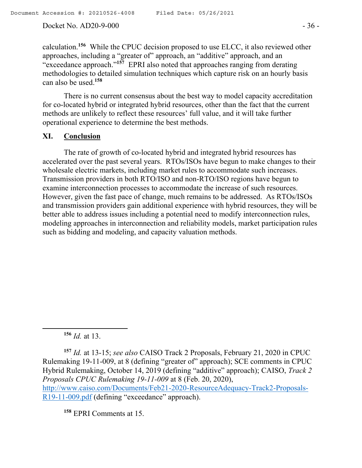Docket No. AD20-9-000 - 36 -

calculation.**<sup>156</sup>** While the CPUC decision proposed to use ELCC, it also reviewed other approaches, including a "greater of" approach, an "additive" approach, and an "exceedance approach."**<sup>157</sup>** EPRI also noted that approaches ranging from derating methodologies to detailed simulation techniques which capture risk on an hourly basis can also be used.**<sup>158</sup>**

There is no current consensus about the best way to model capacity accreditation for co-located hybrid or integrated hybrid resources, other than the fact that the current methods are unlikely to reflect these resources' full value, and it will take further operational experience to determine the best methods.

## **XI. Conclusion**

The rate of growth of co-located hybrid and integrated hybrid resources has accelerated over the past several years. RTOs/ISOs have begun to make changes to their wholesale electric markets, including market rules to accommodate such increases. Transmission providers in both RTO/ISO and non-RTO/ISO regions have begun to examine interconnection processes to accommodate the increase of such resources. However, given the fast pace of change, much remains to be addressed. As RTOs/ISOs and transmission providers gain additional experience with hybrid resources, they will be better able to address issues including a potential need to modify interconnection rules, modeling approaches in interconnection and reliability models, market participation rules such as bidding and modeling, and capacity valuation methods.

**<sup>156</sup>** *Id.* at 13.

 $\overline{a}$ 

**<sup>157</sup>** *Id.* at 13-15; *see also* CAISO Track 2 Proposals, February 21, 2020 in CPUC Rulemaking 19-11-009, at 8 (defining "greater of" approach); SCE comments in CPUC Hybrid Rulemaking, October 14, 2019 (defining "additive" approach); CAISO, *Track 2 Proposals CPUC Rulemaking 19-11-009* at 8 (Feb. 20, 2020), http://www.caiso.com/Documents/Feb21-2020-ResourceAdequacy-Track2-Proposals-R19-11-009.pdf (defining "exceedance" approach).

**<sup>158</sup>** EPRI Comments at 15.